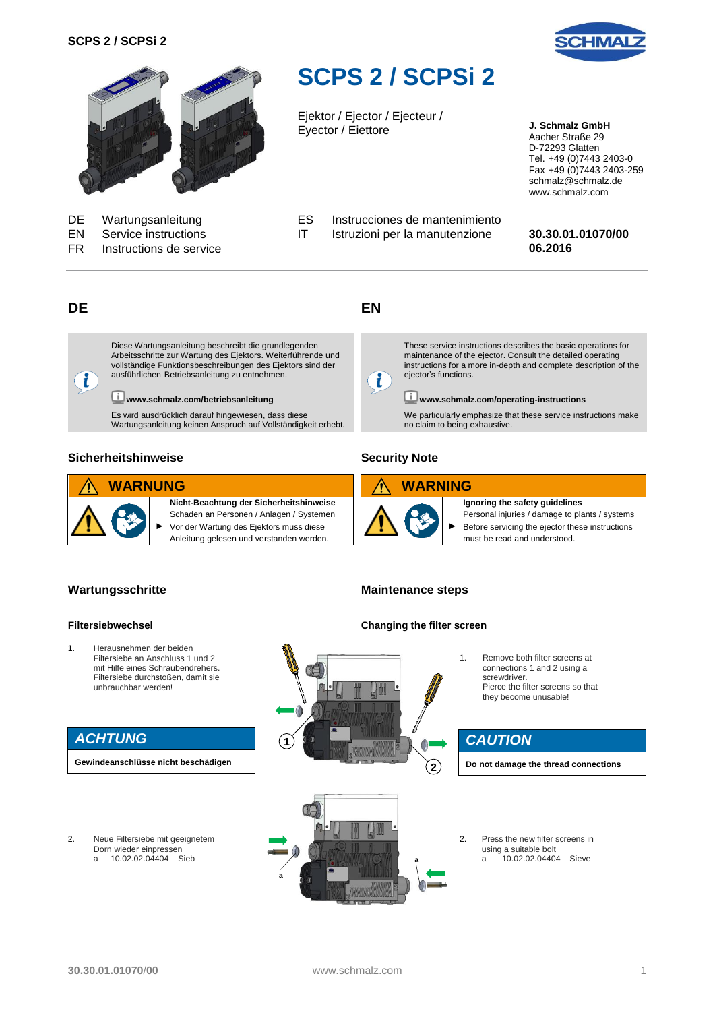



FR **Instructions de service** 

# <span id="page-0-0"></span>**SCPS 2 / SCPSi 2**

Ejektor / Ejector / Ejecteur / Eyector / Eiettore **J. Schmalz GmbH**

Aacher Straße 29 D-72293 Glatten Tel. +49 (0)7443 2403-0 Fax +49 (0)7443 2403-259 schmalz@schmalz.de www.schmalz.com

EN Service instructions IT Istruzioni per la manutenzione **30.30.01.01070/00**

# **DE**

 $\mathbf{i}$ 

Diese Wartungsanleitung beschreibt die grundlegenden Arbeitsschritte zur Wartung des Ejektors. Weiterführende und vollständige Funktionsbeschreibungen des Ejektors sind der ausführlichen Betriebsanleitung zu entnehmen.

DE Wartungsanleitung ES Instrucciones de mantenimiento<br>EN Service instructions IT Istruzioni per la manutenzione

**www.schmalz.com/betriebsanleitung**

Es wird ausdrücklich darauf hingewiesen, dass diese Wartungsanleitung keinen Anspruch auf Vollständigkeit erhebt.

#### **Sicherheitshinweise**



**Nicht-Beachtung der Sicherheitshinweise** Schaden an Personen / Anlagen / Systemen ► Vor der Wartung des Ejektors muss diese Anleitung gelesen und verstanden werden.

# **EN**

i

These service instructions describes the basic operations for maintenance of the ejector. Consult the detailed operating instructions for a more in-depth and complete description of the ejector's functions.

# **www.schmalz.com/operating-instructions**

We particularly emphasize that these service instructions make no claim to being exhaustive.

## **Security Note**





**Maintenance steps**

**Ignoring the safety guidelines** Personal injuries / damage to plants / systems

Before servicing the ejector these instructions must be read and understood.

### **Wartungsschritte**

#### **Filtersiebwechsel**

1. Herausnehmen der beiden Filtersiebe an Anschluss 1 und 2 mit Hilfe eines Schraubendrehers. Filtersiebe durchstoßen, damit sie unbrauchbar werden!

# *ACHTUNG*

**Gewindeanschlüsse nicht beschädigen**

2. Neue Filtersiebe mit geeignetem Dorn wieder einpressen<br>a 10.02.02.04404 S a 10.02.02.04404 Sieb





1. Remove both filter screens at connections 1 and 2 using a screwdriver. Pierce the filter screens so that they become unusable!

# *CAUTION*

**Do not damage the thread connections**

2. Press the new filter screens in using a suitable bolt<br>a  $10.02.02.0440$ a 10.02.02.04404 Sieve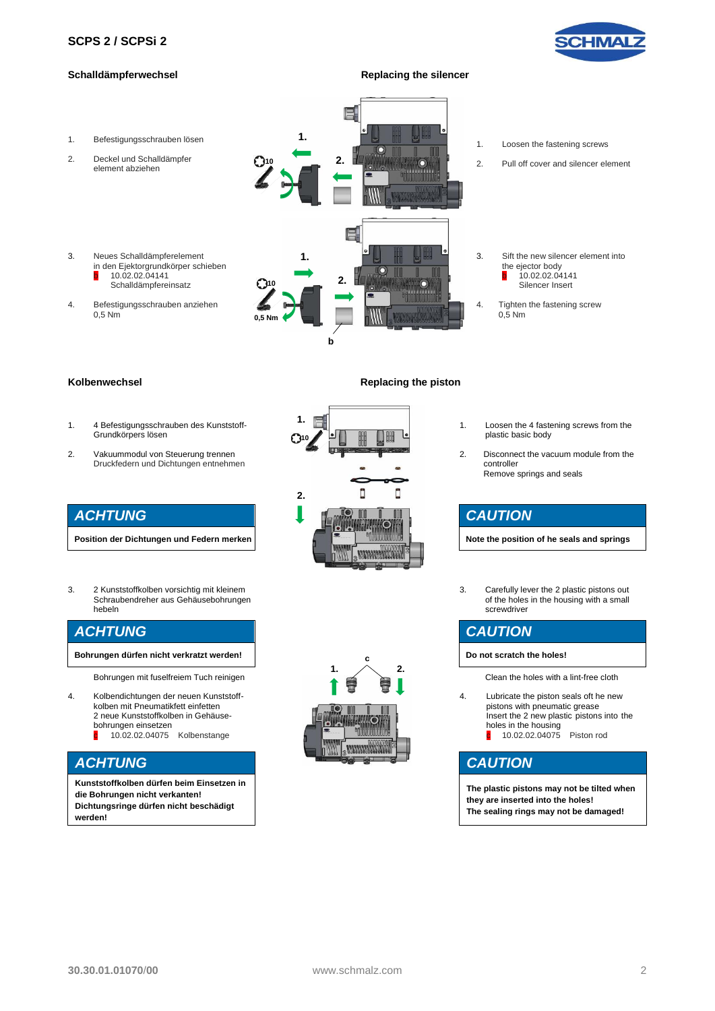

#### **Schalldämpferwechsel Replacing the silencer**



#### **Kolbenwechsel Replacing the piston**

- 1. 4 Befestigungsschrauben des Kunststoff-Grundkörpers lösen
- 2. Vakuummodul von Steuerung trennen Druckfedern und Dichtungen entnehmen

# *ACHTUNG*

**Position der Dichtungen und Federn merken**

3. 2 Kunststoffkolben vorsichtig mit kleinem Schraubendreher aus Gehäusebohrungen hebeln

# *ACHTUNG*

**Bohrungen dürfen nicht verkratzt werden!**

Bohrungen mit fuselfreiem Tuch reinigen

- 4. Kolbendichtungen der neuen Kunststoffkolben mit Pneumatikfett einfetten 2 neue Kunststoffkolben in Gehäusebohrungen einsetzen
	- c 10.02.02.04075 Kolbenstange

# *ACHTUNG*

**Kunststoffkolben dürfen beim Einsetzen in die Bohrungen nicht verkanten! Dichtungsringe dürfen nicht beschädigt werden!**

# **1. 10**  $\Box$ D **2. MARKARASHINA BAK**



- 1. Loosen the 4 fastening screws from the plastic basic body
- 2. Disconnect the vacuum module from the controller Remove springs and seals

# *CAUTION*

**Note the position of he seals and springs**

3. Carefully lever the 2 plastic pistons out of the holes in the housing with a small screwdriver

# *CAUTION*

**Do not scratch the holes!**

Clean the holes with a lint-free cloth

4. Lubricate the piston seals oft he new pistons with pneumatic grease Insert the 2 new plastic pistons into the holes in the housing **c** 10.02.02.04075 Piston rod

# *CAUTION*

**The plastic pistons may not be tilted when they are inserted into the holes! The sealing rings may not be damaged!**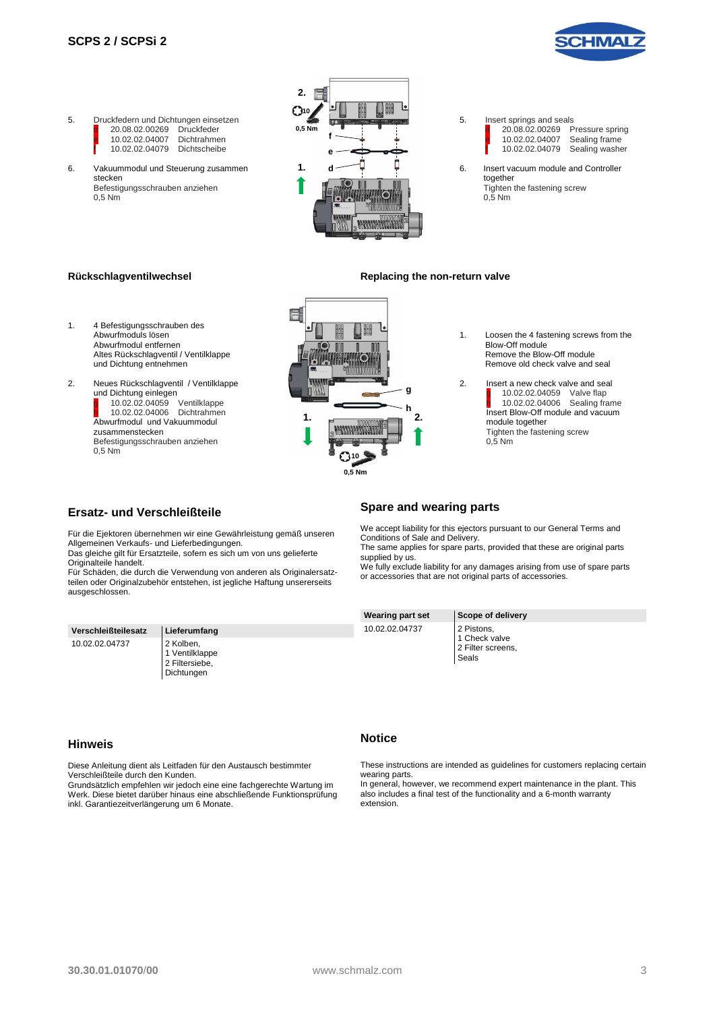



**2.**

6

₩

- Abwurfmodul und Vakuummodul zusammenstecken Befestigungsschrauben anziehen 0,5 Nm
- 1. Loosen the 4 fastening screws from the Remove the Blow-Off module Remove old check valve and seal 2. **Insert a new check valve and seal g** 10.02.02.04059 Valve flap h 10.02.02.04006 Sealing frame Insert Blow-Off module and vacuum **1. 2.** module together **READ AND AND AND A** Tighten the fastening screw 0,5 Nm **10 0,5 Nm**

#### **Ersatz- und Verschleißteile**

Für die Ejektoren übernehmen wir eine Gewährleistung gemäß unseren Allgemeinen Verkaufs- und Lieferbedingungen.

Das gleiche gilt für Ersatzteile, sofern es sich um von uns gelieferte Originalteile handelt.

Für Schäden, die durch die Verwendung von anderen als Originalersatzteilen oder Originalzubehör entstehen, ist jegliche Haftung unsererseits ausgeschlossen.

| Verschleißteilesatz | Lieferumfang                                                |
|---------------------|-------------------------------------------------------------|
| 10.02.02.04737      | 2 Kolben,<br>1 Ventilklappe<br>2 Filtersiebe,<br>Dichtungen |

#### **Hinweis**

Diese Anleitung dient als Leitfaden für den Austausch bestimmter Verschleißteile durch den Kunden.

Grundsätzlich empfehlen wir jedoch eine eine fachgerechte Wartung im Werk. Diese bietet darüber hinaus eine abschließende Funktionsprüfung inkl. Garantiezeitverlängerung um 6 Monate.

#### **Spare and wearing parts**

We accept liability for this ejectors pursuant to our General Terms and Conditions of Sale and Delivery.

The same applies for spare parts, provided that these are original parts supplied by us.

We fully exclude liability for any damages arising from use of spare parts or accessories that are not original parts of accessories.

# **Wearing part set Scope of delivery**

10.02.02.04737 2 Pistons, 1 Check valve 2 Filter screens, Seals

#### **Notice**

These instructions are intended as guidelines for customers replacing certain wearing parts.

In general, however, we recommend expert maintenance in the plant. This also includes a final test of the functionality and a 6-month warranty extension.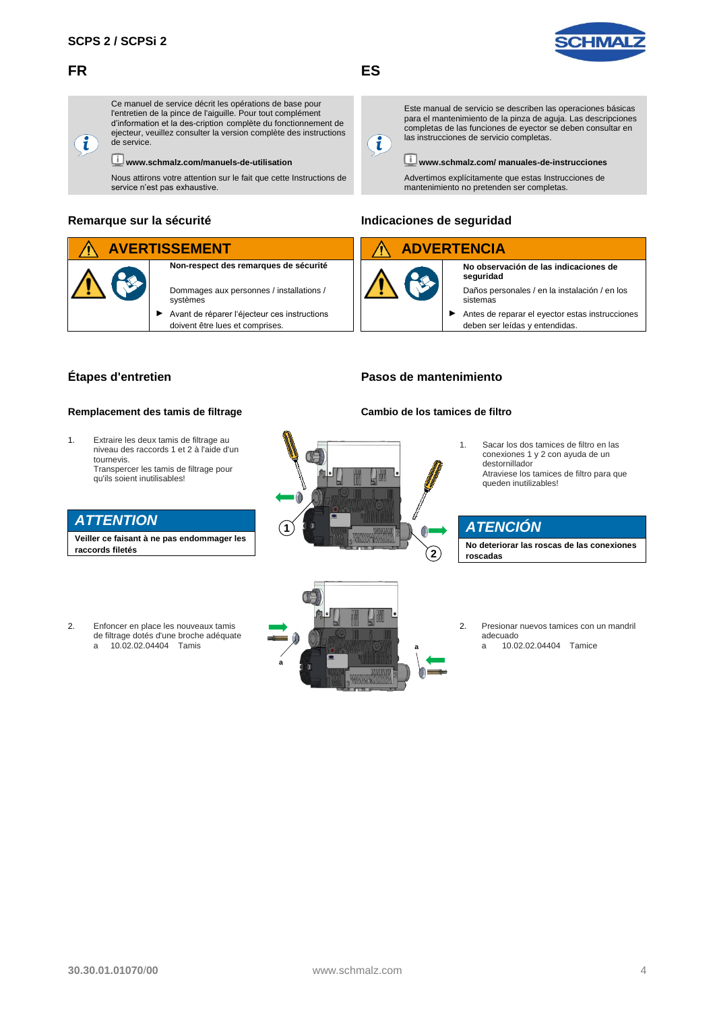## **FR**





Ce manuel de service décrit les opérations de base pour l'entretien de la pince de l'aiguille. Pour tout complément d'information et la des-cription complète du fonctionnement de ejecteur, veuillez consulter la version complète des instructions de service.

#### **www.schmalz.com/manuels-de-utilisation**

Nous attirons votre attention sur le fait que cette Instructions de service n'est pas exhaustive.

#### **Remarque sur la sécurité**

#### **AVERTISSEMENT**

**Non-respect des remarques de sécurité**

- Dommages aux personnes / installations / systèmes ► Avant de réparer l'éjecteur ces instructions
	- doivent être lues et comprises.



**ES**

Este manual de servicio se describen las operaciones básicas para el mantenimiento de la pinza de aguja. Las descripciones completas de las funciones de eyector se deben consultar en las instrucciones de servicio completas.

# $\mathbf{i}$

**www.schmalz.com/ manuales-de-instrucciones**

Advertimos explícitamente que estas Instrucciones de mantenimiento no pretenden ser completas.

### **Indicaciones de seguridad**

# **ADVERTENCIA**

**No observación de las indicaciones de seguridad**

Daños personales / en la instalación / en los sistemas

Antes de reparar el eyector estas instrucciones deben ser leídas y entendidas.

# **Étapes d'entretien**

#### **Remplacement des tamis de filtrage**

1. Extraire les deux tamis de filtrage au niveau des raccords 1 et 2 à l'aide d'un tournevis. Transpercer les tamis de filtrage pour qu'ils soient inutilisables!

# *ATTENTION*

**Veiller ce faisant à ne pas endommager les raccords filetés**

2. Enfoncer en place les nouveaux tamis de filtrage dotés d'une broche adéquate a 10.02.02.04404 Tamis

# **Cambio de los tamices de filtro**

**Pasos de mantenimiento**

- **1 2**
- conexiones 1 y 2 con ayuda de un destornillador Atraviese los tamices de filtro para que queden inutilizables!

1. Sacar los dos tamices de filtro en las

# *ATENCIÓN*

**No deteriorar las roscas de las conexiones roscadas**



2. Presionar nuevos tamices con un mandril adecuado a 10.02.02.04404 Tamice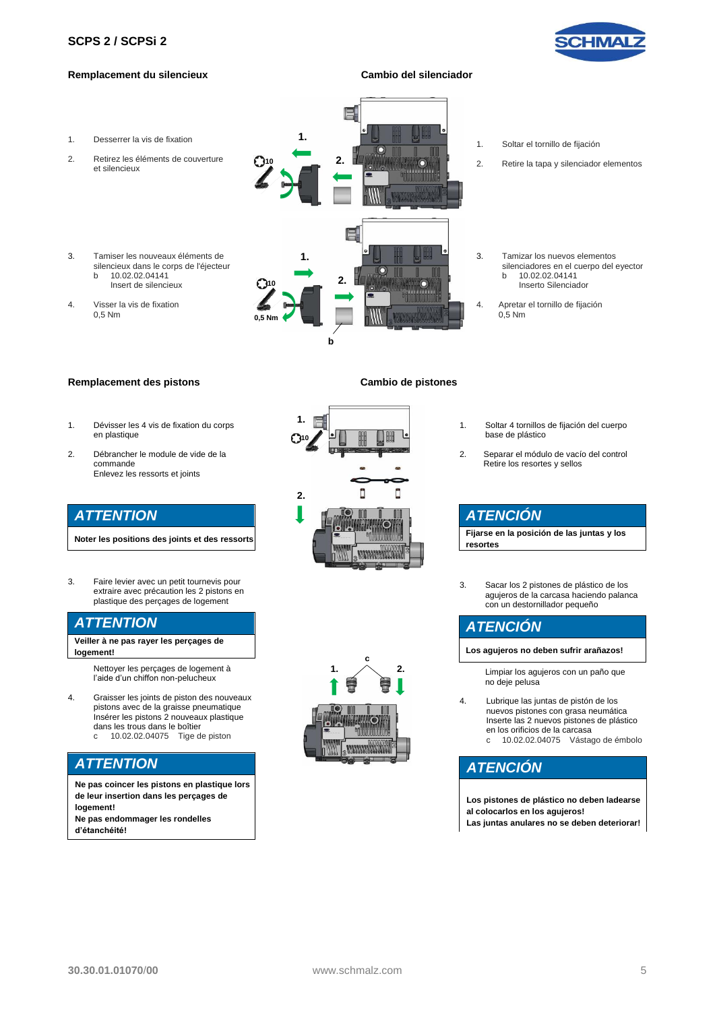#### **SCPS 2 [/ SCPSi](#page-0-0) 2**



#### **Remplacement du silencieux Cambio del silenciador**



#### **Remplacement des pistons Cambio de pistones**

- 1. Dévisser les 4 vis de fixation du corps en plastique
- 2. Débrancher le module de vide de la commande Enlevez les ressorts et joints

### *ATTENTION*

**Noter les positions des joints et des ressorts**

3. Faire levier avec un petit tournevis pour extraire avec précaution les 2 pistons en plastique des perçages de logement

# *ATTENTION*

**Veiller à ne pas rayer les perçages de logement!**

> Nettoyer les perçages de logement à l'aide d'un chiffon non-pelucheux

4. Graisser les joints de piston des nouveaux pistons avec de la graisse pneumatique Insérer les pistons 2 nouveaux plastique dans les trous dans le boîtier c 10.02.02.04075 Tige de piston

# *ATTENTION*

**Ne pas coincer les pistons en plastique lors de leur insertion dans les perçages de logement! Ne pas endommager les rondelles d'étanchéité!**





- 1. Soltar 4 tornillos de fijación del cuerpo base de plástico
- 2. Separar el módulo de vacío del control Retire los resortes y sellos

# *ATENCIÓN*

**Fijarse en la posición de las juntas y los resortes**

3. Sacar los 2 pistones de plástico de los agujeros de la carcasa haciendo palanca con un destornillador pequeño

# *ATENCIÓN*

**Los agujeros no deben sufrir arañazos!**

- Limpiar los agujeros con un paño que no deje pelusa
- 4. Lubrique las juntas de pistón de los nuevos pistones con grasa neumática Inserte las 2 nuevos pistones de plástico en los orificios de la carcasa c 10.02.02.04075 Vástago de émbolo

# *ATENCIÓN*

**Los pistones de plástico no deben ladearse al colocarlos en los agujeros! Las juntas anulares no se deben deteriorar!**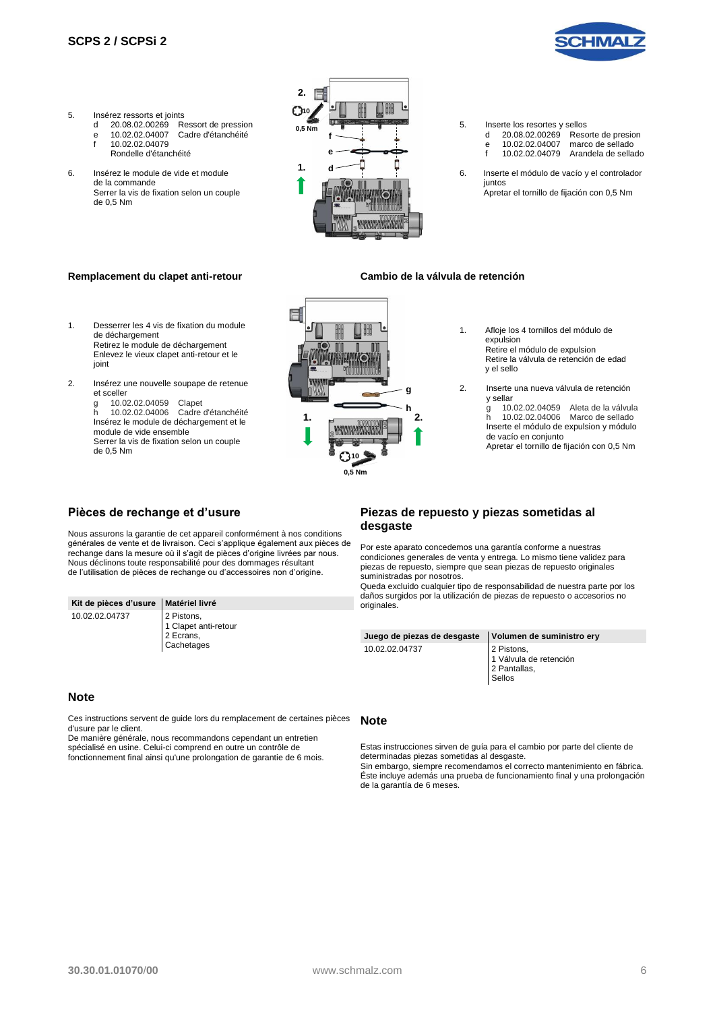

- 5. Insérez ressorts et joints<br>d 20.08.02.00269 Re
	-
	- 20.08.02.00269 Ressort de pression<br>10.02.02.04007 Cadre d'étanchéité e 10.02.02.04007 Cadre d'étanchéité
		- f 10.02.02.04079 Rondelle d'étanchéité
- 6. Insérez le module de vide et module de la commande Serrer la vis de fixation selon un couple de 0,5 Nm



- 5. Inserte los resortes y sellos<br>d 20.08.02.00269 Reso 20.08.02.00269 Resorte de presion<br>10.02.02.04007 marco de sellado e 10.02.02.04007 marco de sellado f 10.02.02.04079 Arandela de sellado
- 6. Inserte el módulo de vacío y el controlador iuntos Apretar el tornillo de fijación con 0,5 Nm

#### **Remplacement du clapet anti-retour Cambio de la válvula de retención**

- 1. Desserrer les 4 vis de fixation du module de déchargement Retirez le module de déchargement Enlevez le vieux clapet anti-retour et le ioint
- 2. Insérez une nouvelle soupape de retenue et sceller

g 10.02.02.04059 Clapet<br>b 10.02.02.04006 Cadre h 10.02.02.04006 Cadre d'étanchéité Insérez le module de déchargement et le module de vide ensemble Serrer la vis de fixation selon un couple de 0,5 Nm



- 1. Afloje los 4 tornillos del módulo de expulsion Retire el módulo de expulsion Retire la válvula de retención de edad y el sello
- 2. Inserte una nueva válvula de retención y sellar

g 10.02.02.04059 Aleta de la válvula<br>h 10.02.02.04006 Marco de sellado 10.02.02.04006 Marco de sellado Inserte el módulo de expulsion y módulo de vacío en conjunto

Apretar el tornillo de fijación con 0,5 Nm

#### **Pièces de rechange et d'usure**

Nous assurons la garantie de cet appareil conformément à nos conditions générales de vente et de livraison. Ceci s'applique également aux pièces de rechange dans la mesure où il s'agit de pièces d'origine livrées par nous. Nous déclinons toute responsabilité pour des dommages résultant de l'utilisation de pièces de rechange ou d'accessoires non d'origine.

| Kit de pièces d'usure   Matériel livré |            |  |
|----------------------------------------|------------|--|
| 10.02.02.04737                         | 2 Pistons, |  |

Clapet anti-retour 2 Ecrans, **Cachetages** 

#### **Note**

Ces instructions servent de guide lors du remplacement de certaines pièces d'usure par le client.

De manière générale, nous recommandons cependant un entretien spécialisé en usine. Celui-ci comprend en outre un contrôle de fonctionnement final ainsi qu'une prolongation de garantie de 6 mois.

#### **Piezas de repuesto y piezas sometidas al desgaste**

Por este aparato concedemos una garantía conforme a nuestras condiciones generales de venta y entrega. Lo mismo tiene validez para piezas de repuesto, siempre que sean piezas de repuesto originales suministradas por nosotros.

Queda excluido cualquier tipo de responsabilidad de nuestra parte por los daños surgidos por la utilización de piezas de repuesto o accesorios no originales.

| Juego de piezas de desgaste | Volumen de suministro ery                                      |
|-----------------------------|----------------------------------------------------------------|
| 10.02.02.04737              | 2 Pistons,<br>1 Válvula de retención<br>2 Pantallas,<br>Sellos |

#### **Note**

de la garantía de 6 meses.

Estas instrucciones sirven de guía para el cambio por parte del cliente de determinadas piezas sometidas al desgaste. Sin embargo, siempre recomendamos el correcto mantenimiento en fábrica. Éste incluye además una prueba de funcionamiento final y una prolongación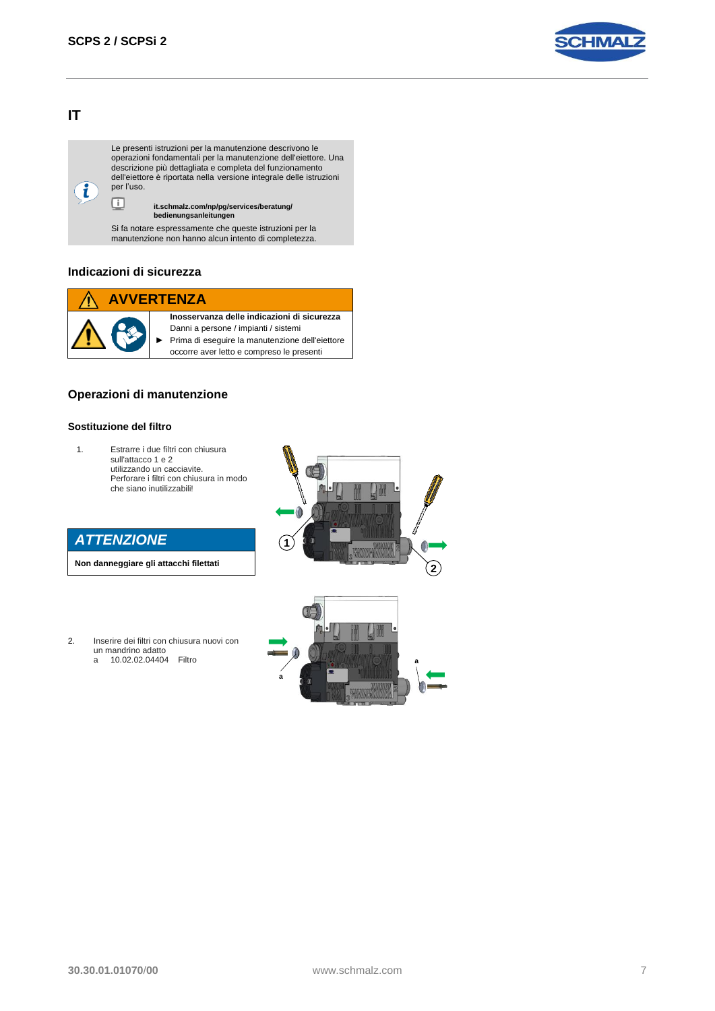

# **IT**

 $\mathbf{i}$ 

Le presenti istruzioni per la manutenzione descrivono le operazioni fondamentali per la manutenzione dell'eiettore. Una descrizione più dettagliata e completa del funzionamento dell'eiettore è riportata nella versione integrale delle istruzioni per l'uso. o

## **it.schmalz.com/np/pg/services/beratung/ bedienungsanleitungen**

Si fa notare espressamente che queste istruzioni per la manutenzione non hanno alcun intento di completezza.

### **Indicazioni di sicurezza**

# **AVVERTENZA**



**Inosservanza delle indicazioni di sicurezza** Danni a persone / impianti / sistemi ► Prima di eseguire la manutenzione dell'eiettore occorre aver letto e compreso le presenti

#### **Operazioni di manutenzione**

#### **Sostituzione del filtro**

1. Estrarre i due filtri con chiusura sull'attacco 1 e 2 utilizzando un cacciavite. Perforare i filtri con chiusura in modo che siano inutilizzabili!

| <b>ATTENZIONE</b> |  |  |
|-------------------|--|--|
|                   |  |  |
|                   |  |  |

**Non danneggiare gli attacchi filettati**

2. Inserire dei filtri con chiusura nuovi con un mandrino adatto<br>a 10.02.02.04404 a 10.02.02.04404 Filtro



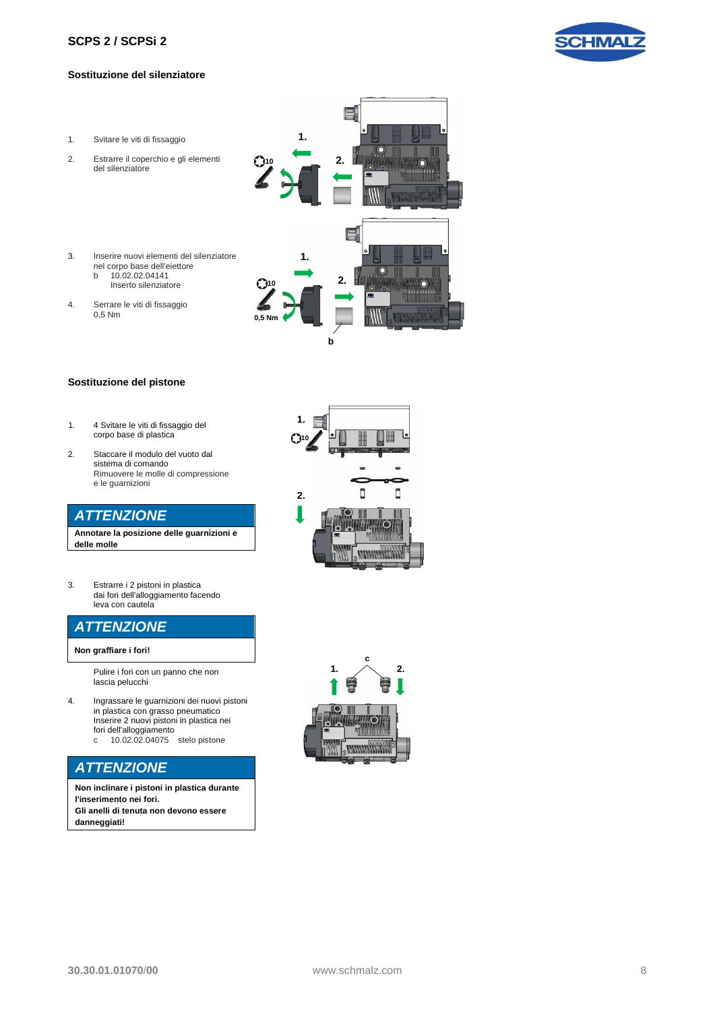#### **SCPS 2 [/ SCPSi](#page-0-0) 2**

#### **Sostituzione del silenziatore**

- 1. Svitare le viti di fissaggio
- 2. Estrarre il coperchio e gli elementi del silenziatore
- 3. Inserire nuovi elementi del silenziatore
	- nel corpo base dell'eiettore<br>b 10.02.02.04141 b 10.02.02.04141
	- Inserto silenziatore
- 4. Serrare le viti di fissaggio 0,5 Nm



- 1. 4 Svitare le viti di fissaggio del corpo base di plastica
- 2. Staccare il modulo del vuoto dal sistema di comando Rimuovere le molle di compressione e le guarnizioni

### *ATTENZIONE*

**Annotare la posizione delle guarnizioni e delle molle**

3. Estrarre i 2 pistoni in plastica dai fori dell'alloggiamento facendo leva con cautela

#### con un piccolo cacciavite *ATTENZIONE*

**Non graffiare i fori!**

Pulire i fori con un panno che non lascia pelucchi

- 4. Ingrassare le guarnizioni dei nuovi pistoni in plastica con grasso pneumatico Inserire 2 nuovi pistoni in plastica nei fori dell'alloggiamento
	- c 10.02.02.04075 stelo pistone

# *ATTENZIONE*

**Non inclinare i pistoni in plastica durante l'inserimento nei fori. Gli anelli di tenuta non devono essere danneggiati!**



**b**

**2.**

昌

**1.**

**10 2.**

**1.**

**10**

**0,5 Nm**